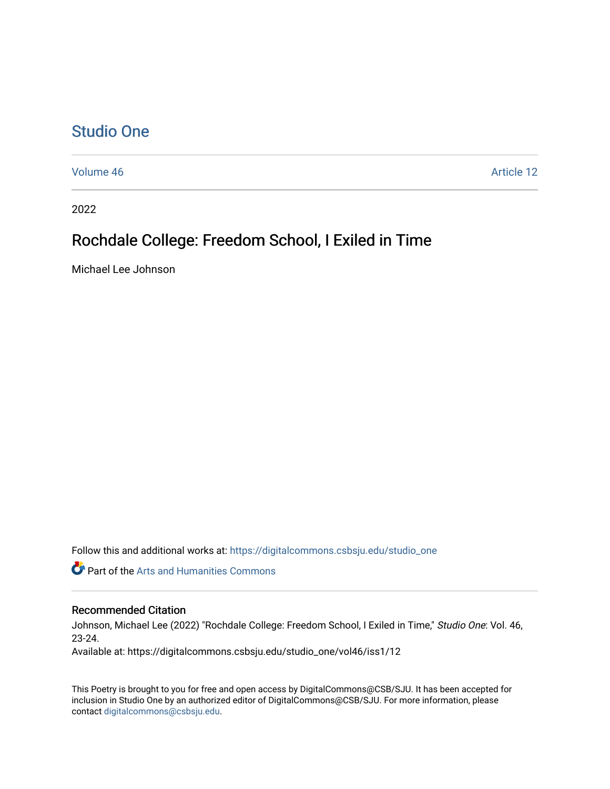## [Studio One](https://digitalcommons.csbsju.edu/studio_one)

[Volume 46](https://digitalcommons.csbsju.edu/studio_one/vol46) Article 12

2022

# Rochdale College: Freedom School, I Exiled in Time

Michael Lee Johnson

Follow this and additional works at: [https://digitalcommons.csbsju.edu/studio\\_one](https://digitalcommons.csbsju.edu/studio_one?utm_source=digitalcommons.csbsju.edu%2Fstudio_one%2Fvol46%2Fiss1%2F12&utm_medium=PDF&utm_campaign=PDFCoverPages) 

Part of the [Arts and Humanities Commons](https://network.bepress.com/hgg/discipline/438?utm_source=digitalcommons.csbsju.edu%2Fstudio_one%2Fvol46%2Fiss1%2F12&utm_medium=PDF&utm_campaign=PDFCoverPages) 

#### Recommended Citation

Johnson, Michael Lee (2022) "Rochdale College: Freedom School, I Exiled in Time," Studio One: Vol. 46, 23-24.

Available at: https://digitalcommons.csbsju.edu/studio\_one/vol46/iss1/12

This Poetry is brought to you for free and open access by DigitalCommons@CSB/SJU. It has been accepted for inclusion in Studio One by an authorized editor of DigitalCommons@CSB/SJU. For more information, please contact [digitalcommons@csbsju.edu.](mailto:digitalcommons@csbsju.edu)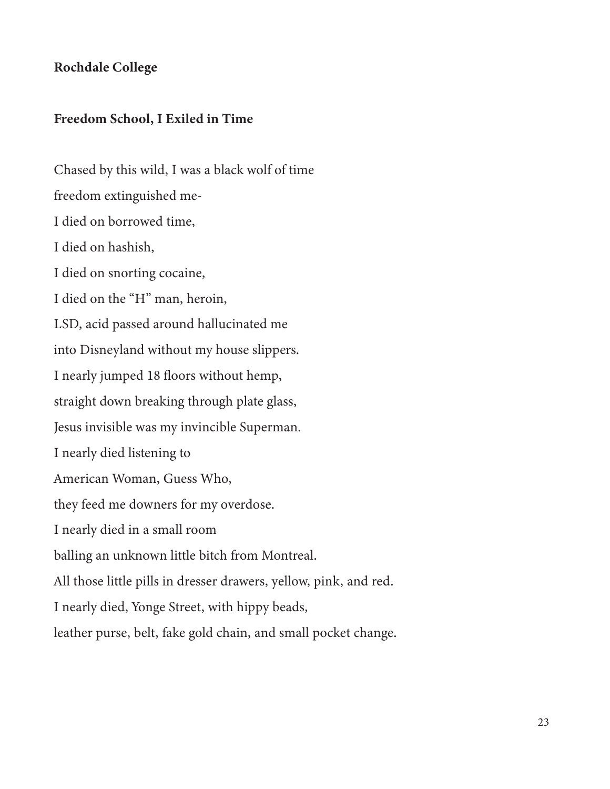### Rochdale College

### Freedom School, I Exiled in Time

Chased by this wild, I was a black wolf of time freedom extinguished me-I died on borrowed time, I died on hashish, I died on snorting cocaine, I died on the "H" man, heroin, LSD, acid passed around hallucinated me into Disneyland without my house slippers. I nearly jumped 18 floors without hemp, straight down breaking through plate glass, Jesus invisible was my invincible Superman. I nearly died listening to American Woman, Guess Who, they feed me downers for my overdose. I nearly died in a small room balling an unknown little bitch from Montreal. All those little pills in dresser drawers, yellow, pink, and red. I nearly died, Yonge Street, with hippy beads, leather purse, belt, fake gold chain, and small pocket change.